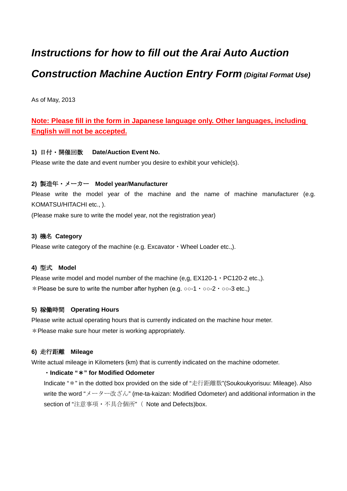# *Instructions for how to fill out the Arai Auto Auction Construction Machine Auction Entry Form (Digital Format Use)*

As of May, 2013

# **Note: Please fill in the form in Japanese language only. Other languages, including English will not be accepted.**

# **1)** 日付・開催回数 **Date/Auction Event No.**

Please write the date and event number you desire to exhibit your vehicle(s).

# **2)** 製造年・メーカー **Model year/Manufacturer**

Please write the model year of the machine and the name of machine manufacturer (e.g. KOMATSU/HITACHI etc., ).

(Please make sure to write the model year, not the registration year)

# **3)** 機名 **Category**

Please write category of the machine (e.g. Excavator  $\cdot$  Wheel Loader etc..).

#### **4)** 型式 **Model**

Please write model and model number of the machine (e.g.  $EX120-1 \cdot PC120-2$  etc..). \*Please be sure to write the number after hyphen (e.g. ○○-1・○○-2・○○-3 etc.,)

# **5)** 稼働時間 **Operating Hours**

Please write actual operating hours that is currently indicated on the machine hour meter. \*Please make sure hour meter is working appropriately.

# **6)** 走行距離 **Mileage**

Write actual mileage in Kilometers (km) that is currently indicated on the machine odometer.

#### ・**Indicate "**\***" for Modified Odometer**

Indicate "\*" in the dotted box provided on the side of "走行距離数"(Soukoukyorisuu: Mileage). Also write the word "メーター改ざん" (me-ta-kaizan: Modified Odometer) and additional information in the section of "注意事項・不具合個所"( Note and Defects)box.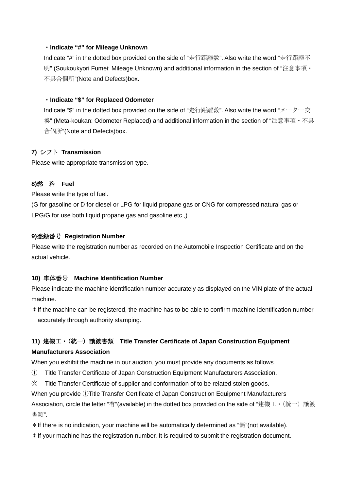# ・**Indicate "#" for Mileage Unknown**

Indicate "#" in the dotted box provided on the side of "走行距離数". Also write the word "走行距離不 明" (Soukoukyori Fumei: Mileage Unknown) and additional information in the section of "注意事項・ 不具合個所"(Note and Defects)box.

# ・**Indicate "\$" for Replaced Odometer**

Indicate "\$" in the dotted box provided on the side of "走行距離数". Also write the word "メーター交 換" (Meta-koukan: Odometer Replaced) and additional information in the section of "注意事項・不具 合個所"(Note and Defects)box.

# **7)** シフト **Transmission**

Please write appropriate transmission type.

# **8)**燃 料 **Fuel**

Please write the type of fuel.

(G for gasoline or D for diesel or LPG for liquid propane gas or CNG for compressed natural gas or LPG/G for use both liquid propane gas and gasoline etc.,)

#### **9)**登録番号 **Registration Number**

Please write the registration number as recorded on the Automobile Inspection Certificate and on the actual vehicle.

#### **10)** 車体番号 **Machine Identification Number**

Please indicate the machine identification number accurately as displayed on the VIN plate of the actual machine.

\*If the machine can be registered, the machine has to be able to confirm machine identification number accurately through authority stamping.

# **11)** 建機工・(統一)譲渡書類 **Title Transfer Certificate of Japan Construction Equipment Manufacturers Association**

When you exhibit the machine in our auction, you must provide any documents as follows.

- ① Title Transfer Certificate of Japan Construction Equipment Manufacturers Association.
- ② Title Transfer Certificate of supplier and conformation of to be related stolen goods.

When you provide ①Title Transfer Certificate of Japan Construction Equipment Manufacturers Association, circle the letter "有"(available) in the dotted box provided on the side of "建機工・(統一)譲渡 書類".

 $*$ If there is no indication, your machine will be automatically determined as " $\text{m}$ "(not available).

\*If your machine has the registration number, It is required to submit the registration document.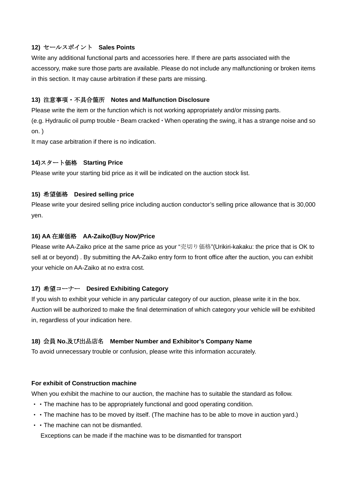# **12)** セールスポイント **Sales Points**

Write any additional functional parts and accessories here. If there are parts associated with the accessory, make sure those parts are available. Please do not include any malfunctioning or broken items in this section. It may cause arbitration if these parts are missing.

#### **13)** 注意事項・不具合箇所 **Notes and Malfunction Disclosure**

Please write the item or the function which is not working appropriately and/or missing parts.

(e.g. Hydraulic oil pump trouble  $\cdot$  Beam cracked  $\cdot$  When operating the swing, it has a strange noise and so on. )

It may case arbitration if there is no indication.

# **14)**スタート価格 **Starting Price**

Please write your starting bid price as it will be indicated on the auction stock list.

#### **15)** 希望価格 **Desired selling price**

Please write your desired selling price including auction conductor's selling price allowance that is 30,000 yen.

#### **16) AA** 在庫価格 **AA-Zaiko(Buy Now)Price**

Please write AA-Zaiko price at the same price as your "売切り価格"(Urikiri-kakaku: the price that is OK to sell at or beyond) . By submitting the AA-Zaiko entry form to front office after the auction, you can exhibit your vehicle on AA-Zaiko at no extra cost.

#### **17)** 希望コーナー **Desired Exhibiting Category**

If you wish to exhibit your vehicle in any particular category of our auction, please write it in the box. Auction will be authorized to make the final determination of which category your vehicle will be exhibited in, regardless of your indication here.

# **18)** 会員 **No.**及び出品店名 **Member Number and Exhibitor's Company Name**

To avoid unnecessary trouble or confusion, please write this information accurately.

# **For exhibit of Construction machine**

When you exhibit the machine to our auction, the machine has to suitable the standard as follow.

- ・・The machine has to be appropriately functional and good operating condition.
- ・・The machine has to be moved by itself. (The machine has to be able to move in auction yard.)
- ・・The machine can not be dismantled.

Exceptions can be made if the machine was to be dismantled for transport